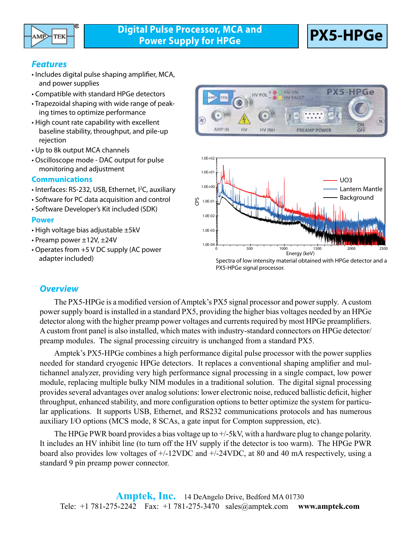

### *Features*

- Includes digital pulse shaping amplifier, MCA, and power supplies
- Compatible with standard HPGe detectors
- Trapezoidal shaping with wide range of peaking times to optimize performance
- High count rate capability with excellent baseline stability, throughput, and pile-up rejection
- Up to 8k output MCA channels
- Oscilloscope mode DAC output for pulse monitoring and adjustment

#### **Communications**

- Interfaces: RS-232, USB, Ethernet, I<sup>2</sup>C, auxiliary
- Software for PC data acquisition and control
- Software Developer's Kit included (SDK)

#### **Power**

- High voltage bias adjustable ±5kV
- Preamp power ±12V, ±24V
- Operates from +5 V DC supply (AC power adapter included)



Spectra of low intensity material obtained with HPGe detector and a PX5-HPGe signal processor.

### *Overview*

The PX5-HPGe is a modified version of Amptek's PX5 signal processor and power supply. A custom power supply board is installed in a standard PX5, providing the higher bias voltages needed by an HPGe detector along with the higher preamp power voltages and currents required by most HPGe preamplifiers. A custom front panel is also installed, which mates with industry-standard connectors on HPGe detector/ preamp modules. The signal processing circuitry is unchanged from a standard PX5.

Amptek's PX5-HPGe combines a high performance digital pulse processor with the power supplies needed for standard cryogenic HPGe detectors. It replaces a conventional shaping amplifier and multichannel analyzer, providing very high performance signal processing in a single compact, low power module, replacing multiple bulky NIM modules in a traditional solution. The digital signal processing provides several advantages over analog solutions: lower electronic noise, reduced ballistic deficit, higher throughput, enhanced stability, and more configuration options to better optimize the system for particular applications. It supports USB, Ethernet, and RS232 communications protocols and has numerous auxiliary I/O options (MCS mode, 8 SCAs, a gate input for Compton suppression, etc).

The HPGe PWR board provides a bias voltage up to +/-5kV, with a hardware plug to change polarity. It includes an HV inhibit line (to turn off the HV supply if the detector is too warm). The HPGe PWR board also provides low voltages of +/-12VDC and +/-24VDC, at 80 and 40 mA respectively, using a standard 9 pin preamp power connector.